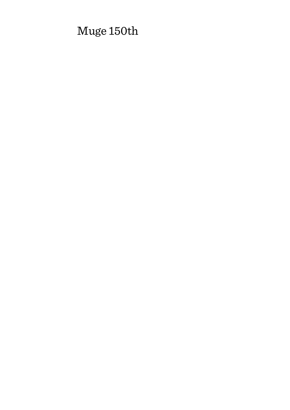# Muge 150th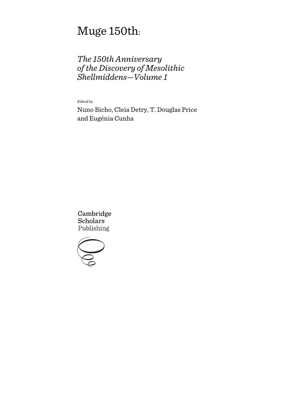# Muge 150th:

# *The 150th Anniversary of the Discovery of Mesolithic Shellmiddens—Volume 1*

Edited by

Nuno Bicho, Cleia Detry, T. Douglas Price and Eugénia Cunha

Cambridge **Scholars** Publishing

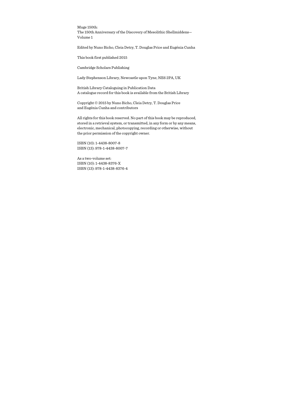Muge 150th: The 150th Anniversary of the Discovery of Mesolithic Shellmiddens— Volume 1

Edited by Nuno Bicho, Cleia Detry, T. Douglas Price and Eugénia Cunha

This book first published 2015

Cambridge Scholars Publishing

Lady Stephenson Library, Newcastle upon Tyne, NE6 2PA, UK

British Library Cataloguing in Publication Data A catalogue record for this book is available from the British Library

Copyright © 2015 by Nuno Bicho, Cleia Detry, T. Douglas Price and Eugénia Cunha and contributors

All rights for this book reserved. No part of this book may be reproduced, stored in a retrieval system, or transmitted, in any form or by any means, electronic, mechanical, photocopying, recording or otherwise, without the prior permission of the copyright owner.

ISBN (10): 1-4438-8007-8 ISBN (13): 978-1-4438-8007-7

As a two-volume set: ISBN (10): 1-4438-8376-X ISBN (13): 978-1-4438-8376-4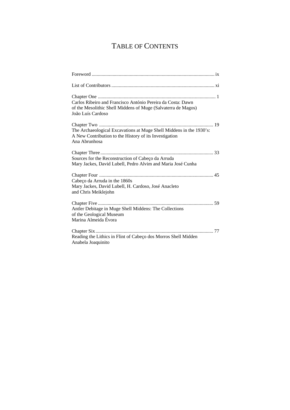# TABLE OF CONTENTS

| Carlos Ribeiro and Francisco António Pereira da Costa: Dawn<br>of the Mesolithic Shell Middens of Muge (Salvaterra de Magos)<br>João Luís Cardoso |
|---------------------------------------------------------------------------------------------------------------------------------------------------|
| The Archaeological Excavations at Muge Shell Middens in the 1930's:<br>A New Contribution to the History of its Investigation<br>Ana Abrunhosa    |
| Sources for the Reconstruction of Cabeço da Arruda<br>Mary Jackes, David Lubell, Pedro Alvim and Maria José Cunha                                 |
| Cabeço da Arruda in the 1860s<br>Mary Jackes, David Lubell, H. Cardoso, José Anacleto<br>and Chris Meiklejohn                                     |
| Antler Debitage in Muge Shell Middens: The Collections<br>of the Geological Museum<br>Marina Almeida Évora                                        |
| Reading the Lithics in Flint of Cabeço dos Morros Shell Midden<br>Anabela Joaquinito                                                              |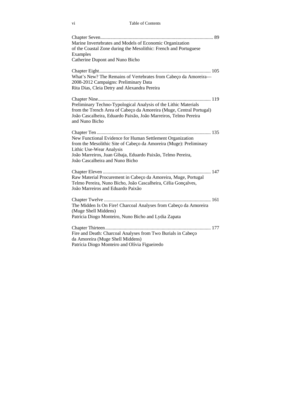#### vi Table of Contents

| Marine Invertebrates and Models of Economic Organization<br>of the Coastal Zone during the Mesolithic: French and Portuguese<br>Examples                                                                                    |  |
|-----------------------------------------------------------------------------------------------------------------------------------------------------------------------------------------------------------------------------|--|
| Catherine Dupont and Nuno Bicho                                                                                                                                                                                             |  |
| What's New? The Remains of Vertebrates from Cabeço da Amoreira-<br>2008-2012 Campaigns: Preliminary Data<br>Rita Dias, Cleia Detry and Alexandra Pereira                                                                    |  |
| Preliminary Techno-Typological Analysis of the Lithic Materials<br>from the Trench Area of Cabeço da Amoreira (Muge, Central Portugal)<br>João Cascalheira, Eduardo Paixão, João Marreiros, Telmo Pereira<br>and Nuno Bicho |  |
| New Functional Evidence for Human Settlement Organization<br>from the Mesolithic Site of Cabeço da Amoreira (Muge): Preliminary<br>Lithic Use-Wear Analysis                                                                 |  |
| João Marreiros, Juan Gibaja, Eduardo Paixão, Telmo Pereira,<br>João Cascalheira and Nuno Bicho                                                                                                                              |  |
| Raw Material Procurement in Cabeço da Amoreira, Muge, Portugal<br>Telmo Pereira, Nuno Bicho, João Cascalheira, Célia Gonçalves,<br>João Marreiros and Eduardo Paixão                                                        |  |
| The Midden Is On Fire! Charcoal Analyses from Cabeço da Amoreira<br>(Muge Shell Middens)<br>Patrícia Diogo Monteiro, Nuno Bicho and Lydia Zapata                                                                            |  |
| Fire and Death: Charcoal Analyses from Two Burials in Cabeço<br>da Amoreira (Muge Shell Middens)<br>Patrícia Diogo Monteiro and Olívia Figueiredo                                                                           |  |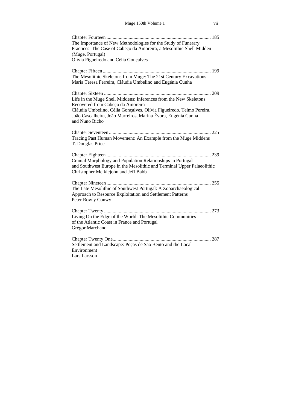| The Importance of New Methodologies for the Study of Funerary<br>Practices: The Case of Cabeço da Amoreira, a Mesolithic Shell Midden<br>(Muge, Portugal)<br>Olívia Figueiredo and Célia Gonçalves                                                                |  |
|-------------------------------------------------------------------------------------------------------------------------------------------------------------------------------------------------------------------------------------------------------------------|--|
| The Mesolithic Skeletons from Muge: The 21st Century Excavations<br>Maria Teresa Ferreira, Cláudia Umbelino and Eugénia Cunha                                                                                                                                     |  |
| Life in the Muge Shell Middens: Inferences from the New Skeletons<br>Recovered from Cabeço da Amoreira<br>Cláudia Umbelino, Célia Gonçalves, Olívia Figueiredo, Telmo Pereira,<br>João Cascalheira, João Marreiros, Marina Évora, Eugénia Cunha<br>and Nuno Bicho |  |
| Tracing Past Human Movement: An Example from the Muge Middens<br>T. Douglas Price                                                                                                                                                                                 |  |
| Cranial Morphology and Population Relationships in Portugal<br>and Southwest Europe in the Mesolithic and Terminal Upper Palaeolithic<br>Christopher Meiklejohn and Jeff Babb                                                                                     |  |
| The Late Mesolithic of Southwest Portugal: A Zooarchaeological<br>Approach to Resource Exploitation and Settlement Patterns<br>Peter Rowly Conwy                                                                                                                  |  |
| Living On the Edge of the World: The Mesolithic Communities<br>of the Atlantic Coast in France and Portugal<br>Grégor Marchand                                                                                                                                    |  |
| Settlement and Landscape: Poças de São Bento and the Local<br>Environment<br>Lars Larsson                                                                                                                                                                         |  |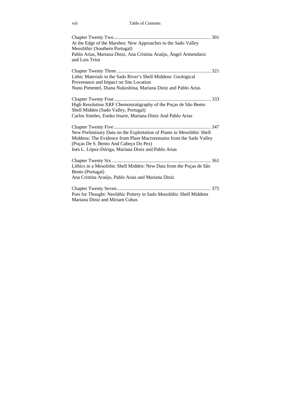viii Table of Contents

| At the Edge of the Marshes: New Approaches to the Sado Valley<br>Mesolithic (Southern Portugal)<br>Pablo Arias, Mariana Diniz, Ana Cristina Araújo, Ángel Armendariz<br>and Luis Teira                                                       |
|----------------------------------------------------------------------------------------------------------------------------------------------------------------------------------------------------------------------------------------------|
| Lithic Materials in the Sado River's Shell Middens: Geological<br>Provenance and Impact on Site Location<br>Nuno Pimentel, Diana Nukushina, Mariana Diniz and Pablo Arias                                                                    |
| High Resolution XRF Chemostratigraphy of the Poças de São Bento<br>Shell Midden (Sado Valley, Portugal)<br>Carlos Simões, Eneko Iriarte, Mariana Diniz And Pablo Arias                                                                       |
| New Preliminary Data on the Exploitation of Plants in Mesolithic Shell<br>Middens: The Evidence from Plant Macroremains from the Sado Valley<br>(Poças De S. Bento And Cabeço Do Pez)<br>Inés L. López-Dóriga, Mariana Diniz and Pablo Arias |
| Lithics in a Mesolithic Shell Midden: New Data from the Poças de São<br>Bento (Portugal)<br>Ana Cristina Araújo, Pablo Arias and Mariana Diniz                                                                                               |
| Pots for Thought: Neolithic Pottery in Sado Mesolithic Shell Middens<br>Mariana Diniz and Miriam Cubas                                                                                                                                       |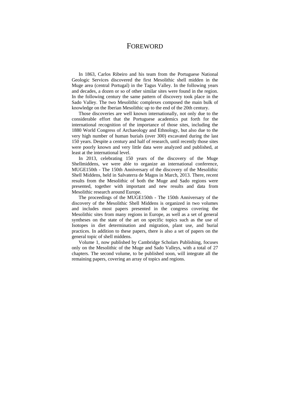### FOREWORD

In 1863, Carlos Ribeiro and his team from the Portuguese National Geologic Services discovered the first Mesolithic shell midden in the Muge area (central Portugal) in the Tagus Valley. In the following years and decades, a dozen or so of other similar sites were found in the region. In the following century the same pattern of discovery took place in the Sado Valley. The two Mesolithic complexes composed the main bulk of knowledge on the Iberian Mesolithic up to the end of the 20th century.

Those discoveries are well known internationally, not only due to the considerable effort that the Portuguese academics put forth for the international recognition of the importance of those sites, including the 1880 World Congress of Archaeology and Ethnology, but also due to the very high number of human burials (over 300) excavated during the last 150 years. Despite a century and half of research, until recently those sites were poorly known and very little data were analyzed and published, at least at the international level.

In 2013, celebrating 150 years of the discovery of the Muge Shellmiddens, we were able to organize an international conference, MUGE150th - The 150th Anniversary of the discovery of the Mesolithic Shell Middens, held in Salvaterra de Magos in March, 2013. There, recent results from the Mesolithic of both the Muge and Sado regions were presented, together with important and new results and data from Mesolithic research around Europe.

The proceedings of the MUGE150th - The 150th Anniversary of the discovery of the Mesolithic Shell Middens is organized in two volumes and includes most papers presented in the congress covering the Mesolithic sites from many regions in Europe, as well as a set of general syntheses on the state of the art on specific topics such as the use of Isotopes in diet determination and migration, plant use, and burial practices. In addition to these papers, there is also a set of papers on the general topic of shell middens.

Volume 1, now published by Cambridge Scholars Publishing, focuses only on the Mesolithic of the Muge and Sado Valleys, with a total of 27 chapters. The second volume, to be published soon, will integrate all the remaining papers, covering an array of topics and regions.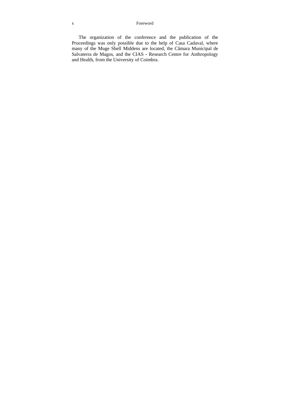#### x Foreword

The organization of the conference and the publication of the Proceedings was only possible due to the help of Casa Cadaval, where many of the Muge Shell Middens are located, the Câmara Municipal de Salvaterra de Magos, and the CIAS - Research Centre for Anthropology and Health, from the University of Coimbra.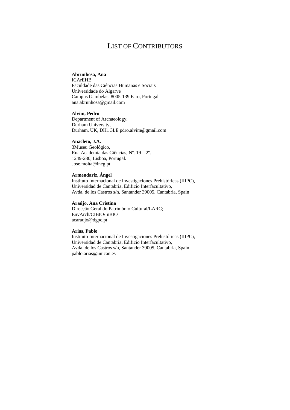### LIST OF CONTRIBUTORS

#### **Abrunhosa, Ana**

ICArEHB Faculdade das Ciências Humanas e Sociais Universidade do Algarve Campus Gambelas. 8005-139 Faro, Portugal ana.abrunhosa@gmail.com

#### **Alvim, Pedro**

Department of Archaeology, Durham University, Durham, UK, DH1 3LE pdro.alvim@gmail.com

#### **Anacleto, J.A.**

3Museu Geológico, Rua Academia das Ciências, Nº. 19 – 2º. 1249-280, Lisboa, Portugal. Jose.moita@lneg.pt

#### **Armendariz, Ángel**

Instituto Internacional de Investigaciones Prehistóricas (IIIPC), Universidad de Cantabria, Edificio Interfacultativo, Avda. de los Castros s/n, Santander 39005, Cantabria, Spain

#### **Araújo, Ana Cristina**

Direcção Geral do Património Cultural/LARC; EnvArch/CIBIO/InBIO acaraujo@dgpc.pt

#### **Arias, Pablo**

Instituto Internacional de Investigaciones Prehistóricas (IIIPC), Universidad de Cantabria, Edificio Interfacultativo, Avda. de los Castros s/n, Santander 39005, Cantabria, Spain pablo.arias@unican.es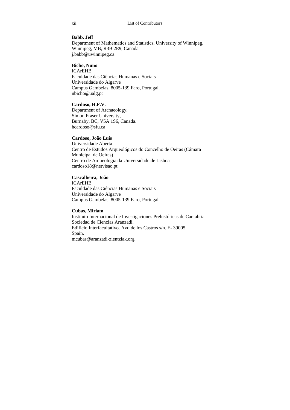#### **Babb, Jeff**

Department of Mathematics and Statistics, University of Winnipeg, Winnipeg, MB, R3B 2E9, Canada j.babb@uwinnipeg.ca

#### **Bicho, Nuno**

ICArEHB Faculdade das Ciências Humanas e Sociais Universidade do Algarve Campus Gambelas. 8005-139 Faro, Portugal. nbicho@ualg.pt

#### **Cardoso, H.F.V.**

Department of Archaeology, Simon Fraser University, Burnaby, BC, V5A 1S6, Canada. hcardoso@sfu.ca

#### **Cardoso, João Luís**

Universidade Aberta Centro de Estudos Arqueológicos do Concelho de Oeiras (Câmara Municipal de Oeiras) Centro de Arqueologia da Universidade de Lisboa cardoso18@netvisao.pt

#### **Cascalheira, João**

ICArEHB Faculdade das Ciências Humanas e Sociais Universidade do Algarve Campus Gambelas. 8005-139 Faro, Portugal

#### **Cubas, Miriam**

Instituto Internacional de Investigaciones Prehistóricas de Cantabria-Sociedad de Ciencias Aranzadi. Edificio Interfacultativo. Avd de los Castros s/n. E- 39005. Spain. mcubas@aranzadi-zientziak.org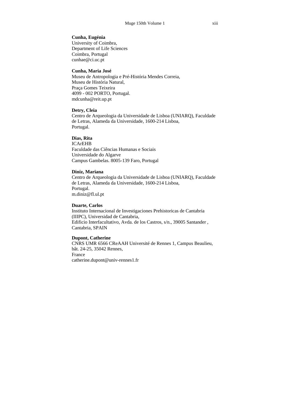#### **Cunha, Eugénia**

University of Coimbra, Department of Life Sciences Coimbra, Portugal cunhae@ci.uc.pt

#### **Cunha, Maria José**

Museu de Antropologia e Pré-História Mendes Correia, Museu de História Natural, Praça Gomes Teixeira 4099 - 002 PORTO, Portugal. mdcunha@reit.up.pt

#### **Detry, Cleia**

Centro de Arqueologia da Universidade de Lisboa (UNIARQ), Faculdade de Letras, Alameda da Universidade, 1600-214 Lisboa, Portugal.

#### **Dias, Rita**

ICArEHB Faculdade das Ciências Humanas e Sociais Universidade do Algarve Campus Gambelas. 8005-139 Faro, Portugal

#### **Diniz, Mariana**

Centro de Arqueologia da Universidade de Lisboa (UNIARQ), Faculdade de Letras, Alameda da Universidade, 1600-214 Lisboa, Portugal. m.diniz@fl.ul.pt

#### **Duarte, Carlos**

Instituto Internacional de Investigaciones Prehistoricas de Cantabria (IIIPC), Universidad de Cantabria, Edificio Interfacultativo, Avda. de los Castros, s/n., 39005 Santander , Cantabria, SPAIN

#### **Dupont, Catherine**

CNRS UMR 6566 CReAAH Université de Rennes 1, Campus Beaulieu, bât. 24-25, 35042 Rennes, France catherine.dupont@univ-rennes1.fr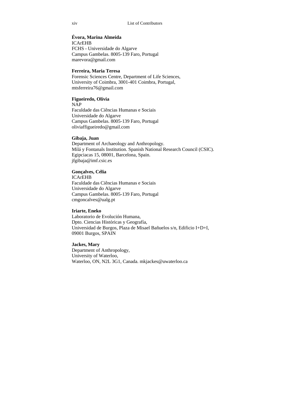#### **Évora, Marina Almeida**

ICArEHB FCHS - Universidade do Algarve Campus Gambelas. 8005-139 Faro, Portugal marevora@gmail.com

#### **Ferreira, Maria Teresa**

Forensic Sciences Centre, Department of Life Sciences, University of Coimbra, 3001-401 Coimbra, Portugal, mtsferreira76@gmail.com

#### **Figueiredo, Olívia**

NAP Faculdade das Ciências Humanas e Sociais Universidade do Algarve Campus Gambelas. 8005-139 Faro, Portugal oliviaffigueiredo@gmail.com

#### **Gibaja, Juan**

Department of Archaeology and Anthropology. Milá y Fontanals Institution. Spanish National Research Council (CSIC). Egipciacas 15, 08001, Barcelona, Spain. jfgibaja@imf.csic.es

#### **Gonçalves, Célia**

ICArEHB Faculdade das Ciências Humanas e Sociais Universidade do Algarve Campus Gambelas. 8005-139 Faro, Portugal cmgoncalves@ualg.pt

#### **Iriarte, Eneko**

Laboratorio de Evolución Humana, Dpto. Ciencias Históricas y Geografía, Universidad de Burgos, Plaza de Misael Bañuelos s/n, Edificio I+D+I, 09001 Burgos, SPAIN

#### **Jackes, Mary**

Department of Anthropology, University of Waterloo, Waterloo, ON, N2L 3G1, Canada. mkjackes@uwaterloo.ca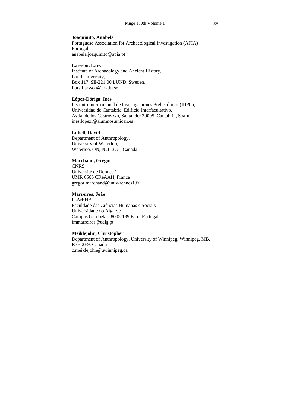#### **Joaquinito, Anabela**

Portuguese Association for Archaeological Investigation (APIA) Portugal anabela.joaquinito@apia.pt

#### **Larsson, Lars**

Institute of Archaeology and Ancient History, Lund University, Box 117, SE-221 00 LUND, Sweden. Lars.Larsson@ark.lu.se

#### **López-Dóriga, Inés**

Instituto Internacional de Investigaciones Prehistóricas (IIIPC), Universidad de Cantabria, Edificio Interfacultativo, Avda. de los Castros s/n, Santander 39005, Cantabria, Spain. ines.lopezl@alumnos.unican.es

#### **Lubell, David**

Department of Anthropology, University of Waterloo, Waterloo, ON, N2L 3G1, Canada

#### **Marchand, Grégor**

**CNRS** Université de Rennes 1– UMR 6566 CReAAH, France gregor.marchand@univ-rennes1.fr

#### **Marreiros, João**

ICArEHB Faculdade das Ciências Humanas e Sociais Universidade do Algarve Campus Gambelas. 8005-139 Faro, Portugal. jmmarreiros@ualg.pt

#### **Meiklejohn, Christopher**

Department of Anthropology, University of Winnipeg, Winnipeg, MB, R3B 2E9, Canada c.meiklejohn@uwinnipeg.ca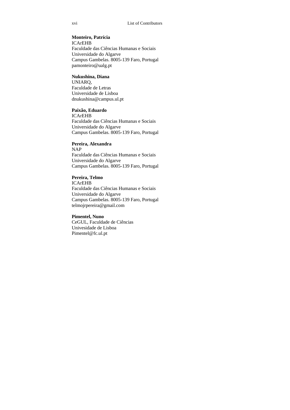#### **Monteiro, Patrícia**

ICArEHB Faculdade das Ciências Humanas e Sociais Universidade do Algarve Campus Gambelas. 8005-139 Faro, Portugal pamonteiro@ualg.pt

#### **Nukushina, Diana**

UNIARQ, Faculdade de Letras Universidade de Lisboa dnukushina@campus.ul.pt

#### **Paixão, Eduardo**

ICArEHB Faculdade das Ciências Humanas e Sociais Universidade do Algarve Campus Gambelas. 8005-139 Faro, Portugal

#### **Pereira, Alexandra**

NAP Faculdade das Ciências Humanas e Sociais Universidade do Algarve Campus Gambelas. 8005-139 Faro, Portugal

#### **Pereira, Telmo**

ICArEHB Faculdade das Ciências Humanas e Sociais Universidade do Algarve Campus Gambelas. 8005-139 Faro, Portugal telmojrpereira@gmail.com

#### **Pimentel, Nuno**

CeGUL, Faculdade de Ciências Univesidade de Lisboa Pimentel@fc.ul.pt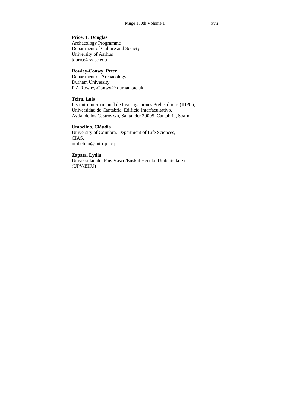#### **Price, T. Douglas**

Archaeology Programme Department of Culture and Society University of Aarhus tdprice@wisc.edu

#### **Rowley-Conwy, Peter**

Department of Archaeology Durham University P.A.Rowley-Conwy@ durham.ac.uk

#### **Teira, Luis**

Instituto Internacional de Investigaciones Prehistóricas (IIIPC), Universidad de Cantabria, Edificio Interfacultativo, Avda. de los Castros s/n, Santander 39005, Cantabria, Spain

#### **Umbelino, Cláudia**

University of Coimbra, Department of Life Sciences, CIAS, umbelino@antrop.uc.pt

#### **Zapata, Lydia**

Universidad del País Vasco/Euskal Herriko Unibertsitatea (UPV/EHU)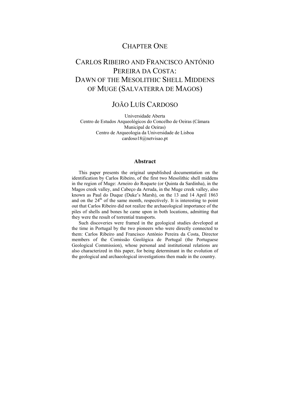## CHAPTER ONE

## CARLOS RIBEIRO AND FRANCISCO ANTÓNIO PEREIRA DA COSTA: DAWN OF THE MESOLITHIC SHELL MIDDENS OF MUGE (SALVATERRA DE MAGOS)

### JOÃO LUÍS CARDOSO

Universidade Aberta Centro de Estudos Arqueológicos do Concelho de Oeiras (Câmara Municipal de Oeiras) Centro de Arqueologia da Universidade de Lisboa cardoso18@netvisao.pt

#### **Abstract**

This paper presents the original unpublished documentation on the identification by Carlos Ribeiro, of the first two Mesolithic shell middens in the region of Muge: Arneiro do Roquete (or Quinta da Sardinha), in the Magos creek valley, and Cabeço da Arruda, in the Muge creek valley, also known as Paul do Duque (Duke's Marsh), on the 13 and 14 April 1863 and on the  $24<sup>th</sup>$  of the same month, respectively. It is interesting to point out that Carlos Ribeiro did not realize the archaeological importance of the piles of shells and bones he came upon in both locations, admitting that they were the result of torrential transports.

Such discoveries were framed in the geological studies developed at the time in Portugal by the two pioneers who were directly connected to them: Carlos Ribeiro and Francisco António Pereira da Costa, Director members of the Comissão Geológica de Portugal (the Portuguese Geological Commission), whose personal and institutional relations are also characterized in this paper, for being determinant in the evolution of the geological and archaeological investigations then made in the country.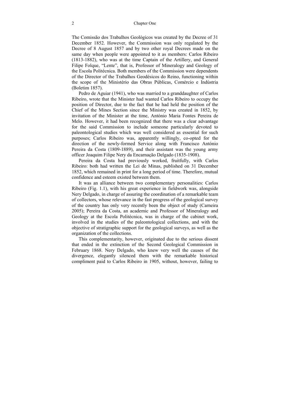The Comissão dos Trabalhos Geológicos was created by the Decree of 31 December 1852. However, the Commission was only regulated by the Decree of 8 August 1857 and by two other royal Decrees made on the same day when people were appointed to it as members: Carlos Ribeiro (1813-1882), who was at the time Captain of the Artillery, and General Filipe Folque, "Lente", that is, Professor of Mineralogy and Geology of the Escola Politécnica. Both members of the Commission were dependents of the Director of the Trabalhos Geodésicos do Reino, functioning within the scope of the Ministério das Obras Públicas, Comércio e Indústria (Boletim 1857).

Pedro de Aguiar (1941), who was married to a granddaughter of Carlos Ribeiro, wrote that the Minister had wanted Carlos Ribeiro to occupy the position of Director, due to the fact that he had held the position of the Chief of the Mines Section since the Ministry was created in 1852, by invitation of the Minister at the time, António Maria Fontes Pereira de Melo. However, it had been recognized that there was a clear advantage for the said Commission to include someone particularly devoted to paleontological studies which was well considered as essential for such purposes; Carlos Ribeiro was, apparently willingly, co-opted for the direction of the newly-formed Service along with Francisco António Pereira da Costa (1809-1889), and their assistant was the young army officer Joaquim Filipe Nery da Encarnação Delgado (1835-1908).

Pereira da Costa had previously worked, fruitfully, with Carlos Ribeiro: both had written the Lei de Minas, published on 31 December 1852, which remained in print for a long period of time. Therefore, mutual confidence and esteem existed between them.

It was an alliance between two complementary personalities: Carlos Ribeiro (Fig. 1.1), with his great experience in fieldwork was, alongside Nery Delgado, in charge of assuring the coordination of a remarkable team of collectors, whose relevance in the fast progress of the geological survey of the country has only very recently been the object of study (Carneira 2005); Pereira da Costa, an academic and Professor of Mineralogy and Geology at the Escola Politécnica, was in charge of the cabinet work, involved in the studies of the paleontological collections, and with the objective of stratigraphic support for the geological surveys, as well as the organization of the collections.

This complementarity, however, originated due to the serious dissent that ended in the extinction of the Second Geological Commission in February 1868. Nery Delgado, who knew very well the causes of the divergence, elegantly silenced them with the remarkable historical compliment paid to Carlos Ribeiro in 1905, without, however, failing to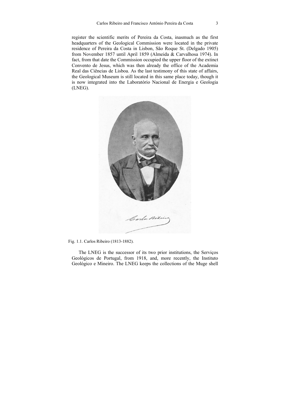register the scientific merits of Pereira da Costa, inasmuch as the first headquarters of the Geological Commission were located in the private residence of Pereira da Costa in Lisbon, São Roque St. (Delgado 1905) from November 1857 until April 1859 (Almeida & Carvalhosa 1974). In fact, from that date the Commission occupied the upper floor of the extinct Convento de Jesus, which was then already the office of the Academia Real das Ciências de Lisboa. As the last testimony of this state of affairs, the Geological Museum is still located in this same place today, though it is now integrated into the Laboratório Nacional de Energia e Geologia (LNEG).



Fig. 1.1. Carlos Ribeiro (1813-1882).

The LNEG is the successor of its two prior institutions, the Serviços Geológicos de Portugal, from 1918, and, more recently, the Instituto Geológico e Mineiro. The LNEG keeps the collections of the Muge shell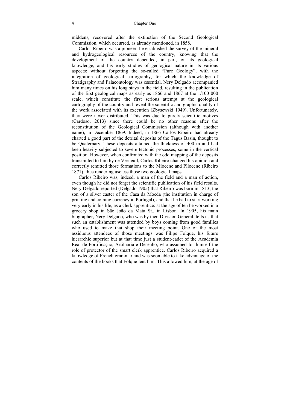middens, recovered after the extinction of the Second Geological Commission, which occurred, as already mentioned, in 1858.

Carlos Ribeiro was a pioneer: he established the survey of the mineral and hydrogeological resources of the country, knowing that the development of the country depended, in part, on its geological knowledge, and his early studies of geological nature in its various aspects: without forgetting the so-called "Pure Geology", with the integration of geological cartography, for which the knowledge of Stratigraphy and Palaeontology was essential. Nery Delgado accompanied him many times on his long stays in the field, resulting in the publication of the first geological maps as early as 1866 and 1867 at the 1/100 000 scale, which constitute the first serious attempt at the geological cartography of the country and reveal the scientific and graphic quality of the work associated with its execution (Zbysewski 1949). Unfortunately, they were never distributed. This was due to purely scientific motives (Cardoso, 2013) since there could be no other reasons after the reconstitution of the Geological Commission (although with another name), in December 1869. Indeed, in 1866 Carlos Ribeiro had already charted a good part of the detrital deposits of the Tagus Basin, thought to be Quaternary. These deposits attained the thickness of 400 m and had been heavily subjected to severe tectonic processes, some in the vertical position. However, when confronted with the odd mapping of the deposits transmitted to him by de Verneuil, Carlos Ribeiro changed his opinion and correctly remitted those formations to the Miocene and Pliocene (Ribeiro 1871), thus rendering useless those two geological maps.

Carlos Ribeiro was, indeed, a man of the field and a man of action, even though he did not forget the scientific publication of his field results. Nery Delgado reported (Delgado 1905) that Ribeiro was born in 1813, the son of a silver caster of the Casa da Moeda (the institution in charge of printing and coining currency in Portugal), and that he had to start working very early in his life, as a clerk apprentice: at the age of ten he worked in a grocery shop in São João da Mata St., in Lisbon. In 1905, his main biographer, Nery Delgado, who was by then Division General, tells us that such an establishment was attended by boys coming from good families who used to make that shop their meeting point. One of the most assiduous attendees of those meetings was Filipe Folque, his future hierarchic superior but at that time just a student-cadet of the Academia Real de Fortificação, Artilharia e Desenho, who assumed for himself the role of protector of the smart clerk apprentice. Carlos Ribeiro acquired a knowledge of French grammar and was soon able to take advantage of the contents of the books that Folque lent him. This allowed him, at the age of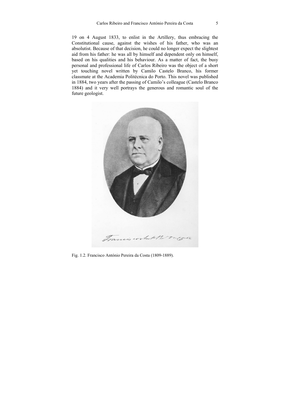19 on 4 August 1833, to enlist in the Artillery, thus embracing the Constitutional cause, against the wishes of his father, who was an absolutist. Because of that decision, he could no longer expect the slightest aid from his father: he was all by himself and dependent only on himself, based on his qualities and his behaviour. As a matter of fact, the busy personal and professional life of Carlos Ribeiro was the object of a short yet touching novel written by Camilo Castelo Branco, his former classmate at the Academia Politécnica do Porto. This novel was published in 1884, two years after the passing of Camilo's colleague (Castelo Branco 1884) and it very well portrays the generous and romantic soul of the future geologist.



Fig. 1.2. Francisco António Pereira da Costa (1809-1889).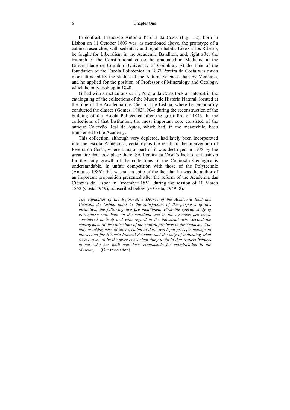In contrast, Francisco António Pereira da Costa (Fig. 1.2), born in Lisbon on 11 October 1809 was, as mentioned above, the prototype of a cabinet researcher, with sedentary and regular habits. Like Carlos Ribeiro, he fought for Liberalism in the Academic Batallion, and, right after the triumph of the Constitutional cause, he graduated in Medicine at the Universidade de Coimbra (University of Coimbra). At the time of the foundation of the Escola Politécnica in 1837 Pereira da Costa was much more attracted by the studies of the Natural Sciences than by Medicine, and he applied for the position of Professor of Mineralogy and Geology, which he only took up in 1840.

Gifted with a meticulous spirit, Pereira da Costa took an interest in the cataloguing of the collections of the Museu de História Natural, located at the time in the Academia das Ciências de Lisboa, where he temporarily conducted the classes (Gomes, 1903/1904) during the reconstruction of the building of the Escola Politécnica after the great fire of 1843. In the collections of that Institution, the most important core consisted of the antique Colecção Real da Ajuda, which had, in the meanwhile, been transferred to the Academy.

This collection, although very depleted, had lately been incorporated into the Escola Politécnica, certainly as the result of the intervention of Pereira da Costa, where a major part of it was destroyed in 1978 by the great fire that took place there. So, Pereira da Costa's lack of enthusiasm for the daily growth of the collections of the Comissão Geológica is understandable, in unfair competition with those of the Polytechnic (Antunes 1986): this was so, in spite of the fact that he was the author of an important proposition presented after the reform of the Academia das Ciências de Lisboa in December 1851, during the session of 10 March 1852 (Costa 1949), transcribed below (*in* Costa, 1949: 8):

*The capacities of the Reformative Decree of the Academia Real das Ciências de Lisboa point to the satisfaction of the purposes of this institution, the following two are mentioned: First–the special study of Portuguese soil, both on the mainland and in the overseas provinces, considered in itself and with regard to the industrial arts. Second–the enlargement of the collections of the natural products in the Academy. The duty of taking care of the execution of these two legal precepts belongs to the section for Historic-Natural Sciences and the duty of indicating what seems to me to be the more convenient thing to do in that respect belongs to me, who has until now been responsible for classification in the Museum,….* (Our translation)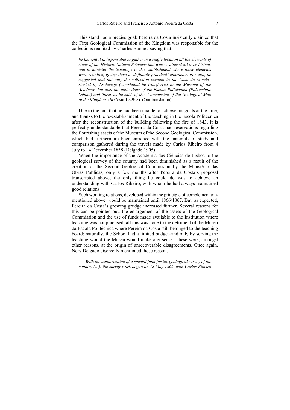This stand had a precise goal: Pereira da Costa insistently claimed that the First Geological Commission of the Kingdom was responsible for the collections reunited by Charles Bonnet, saying that:

*he thought it indispensable to gather in a single location all the elements of study of the Historic-Natural Sciences that were scattered all over Lisbon, and to minister the teachings in the establishment where those elements were reunited, giving them a 'definitely practical' character. For that, he suggested that not only the collection existent in the Casa da Moeda– started by Eschwege (…)–should be transferred to the Museum of the Academy, but also the collections of the Escola Politécnica (Polytechnic School) and those, as he said, of the 'Commission of the Geological Map of the Kingdom'* (*in* Costa 1949: 8). (Our translation)

Due to the fact that he had been unable to achieve his goals at the time, and thanks to the re-establishment of the teaching in the Escola Politécnica after the reconstruction of the building following the fire of 1843, it is perfectly understandable that Pereira da Costa had reservations regarding the flourishing assets of the Museum of the Second Geological Commission, which had furthermore been enriched with the materials of study and comparison gathered during the travels made by Carlos Ribeiro from 4 July to 14 December 1858 (Delgado 1905).

When the importance of the Academia das Ciências de Lisboa to the geological survey of the country had been diminished as a result of the creation of the Second Geological Commission by the Ministério das Obras Públicas, only a few months after Pereira da Costa's proposal transcripted above, the only thing he could do was to achieve an understanding with Carlos Ribeiro, with whom he had always maintained good relations.

Such working relations, developed within the principle of complementarity mentioned above, would be maintained until 1866/1867. But, as expected, Pereira da Costa's growing grudge increased further. Several reasons for this can be pointed out: the enlargement of the assets of the Geological Commission and the use of funds made available to the Institution where teaching was not practised; all this was done to the detriment of the Museu da Escola Politécnica where Pereira da Costa still belonged to the teaching board; naturally, the School had a limited budget–and only by serving the teaching would the Museu would make any sense. These were, amongst other reasons, at the origin of unrecoverable disagreements. Once again, Nery Delgado discreetly mentioned those reasons:

*With the authorization of a special fund for the geological survey of the country (…), the survey work began on 18 May 1866, with Carlos Ribeiro*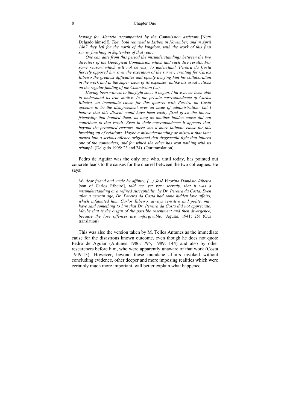#### 8 Chapter One

*leaving for Alentejo accompanied by the Commission assistant* [Nery Delgado himself]*. They both returned to Lisbon in November, and in April 1867 they left for the north of the kingdom, with the work of this first survey finishing in September of that year.* 

*One can date from this period the misunderstandings between the two directors of the Geological Commission which had such dire results. For some reason, which will not be easy to understand, Pereira da Costa fiercely opposed him over the execution of the survey, creating for Carlos Ribeiro the greatest difficulties and openly denying him his collaboration in the work and in the supervision of its expenses, unlike his usual actions on the regular funding of the Commission (…).* 

*Having been witness to this fight since it began, I have never been able to understand its true motive. In the private correspondence of Carlos Ribeiro, an immediate cause for this quarrel with Pereira da Costa appears to be the disagreement over an issue of administration; but I believe that this dissent could have been easily fixed given the intense friendship that bonded them, as long as another hidden cause did not contribute to that result. Even in their correspondence it appears that, beyond the presented reasons, there was a more intimate cause for this breaking up of relations. Maybe a misunderstanding or mistrust that later turned into a serious offence originated that disgraceful fight that injured one of the contenders, and for which the other has won nothing with its triumph.* (Delgado 1905: 23 and 24). (Our translation)

Pedro de Aguiar was the only one who, until today, has pointed out concrete leads to the causes for the quarrel between the two colleagues. He says:

*My dear friend and uncle by affinity, (…) José Vitorino Damásio Ribeiro*  [son of Carlos Ribeiro], *told me, yet very secretly, that it was a misunderstanding or a refined susceptibility by Dr. Pereira da Costa. Even after a certain age, Dr. Pereira da Costa had some hidden love affairs, which infatuated him. Carlos Ribeiro, always sensitive and polite, may have said something to him that Dr. Pereira da Costa did not appreciate. Maybe that is the origin of the possible resentment and then divergence, because the love offences are unforgivable.* (Aguiar, 1941: 25) (Our translation)

This was also the version taken by M. Telles Antunes as the immediate cause for the disastrous known outcome, even though he does not quote Pedro de Aguiar (Antunes 1986: 795, 1989: 144) and also by other researchers before him, who were apparently unaware of that work (Costa 1949:13). However, beyond these mundane affairs invoked without concluding evidence, other deeper and more imposing realities which were certainly much more important, will better explain what happened.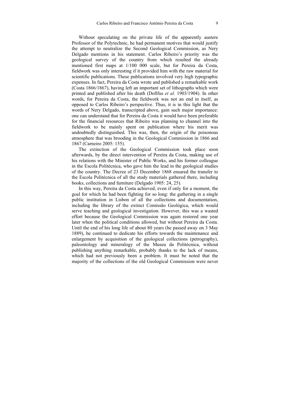Without speculating on the private life of the apparently austere Professor of the Polytechnic, he had permanent motives that would justify the attempt to neutralize the Second Geological Commission, as Nery Delgado mentions in his statement. Carlos Ribeiro's priority was the geological survey of the country from which resulted the already mentioned first maps at 1/100 000 scale, but for Pereira da Costa, fieldwork was only interesting if it provided him with the raw material for scientific publications. These publications involved very high typographic expenses. In fact, Pereira da Costa wrote and published a remarkable work (Costa 1866/1867), having left an important set of lithographs which were printed and published after his death (Dollfus *et al.* 1903/1904). In other words, for Pereira da Costa, the fieldwork was not an end in itself, as opposed to Carlos Ribeiro's perspective. Thus, it is in this light that the words of Nery Delgado, transcripted above, gain such major importance: one can understand that for Pereira da Costa it would have been preferable for the financial resources that Ribeiro was planning to channel into the fieldwork to be mainly spent on publication where his merit was undoubtedly distinguished. This was, then, the origin of the poisonous atmosphere that was brooding in the Geological Commission in 1866 and 1867 (Carneiro 2005: 155).

The extinction of the Geological Commission took place soon afterwards, by the direct intervention of Pereira da Costa, making use of his relations with the Minister of Public Works, and his former colleague in the Escola Politécnica, who gave him the lead in the geological studies of the country. The Decree of 23 December 1868 ensured the transfer to the Escola Politécnica of all the study materials gathered there, including books, collections and furniture (Delgado 1905: 24, 25).

In this way, Pereira da Costa achieved, even if only for a moment, the goal for which he had been fighting for so long: the gathering in a single public institution in Lisbon of all the collections and documentation, including the library of the extinct Comissão Geológica, which would serve teaching and geological investigation. However, this was a wasted effort because the Geological Commission was again restored one year later when the political conditions allowed, but without Pereira da Costa. Until the end of his long life of about 80 years (he passed away on 3 May 1889), he continued to dedicate his efforts towards the maintenance and enlargement by acquisition of the geological collections (petrography), paleontology and mineralogy of the Museu da Politécnica, without publishing anything remarkable, probably thanks to the lack of means, which had not previously been a problem. It must be noted that the majority of the collections of the old Geological Commission were never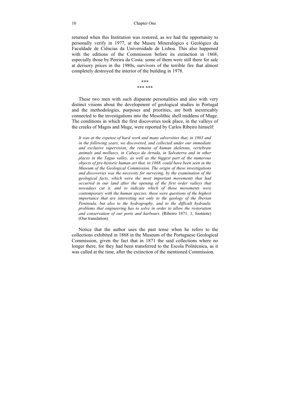returned when this Institution was restored, as we had the opportunity to personally verify in 1977, at the Museu Mineralógico e Geológico da Faculdade de Ciências da Universidade de Lisboa. This also happened with the editions of the Commission before its extinction in 1868. especially those by Pereira da Costa: some of them were still there for sale at derisory prices in the 1980s, survivors of the terrible fire that almost completely destroyed the interior of the building in 1978.

> \*\*\* \*\*\* \*\*\*

These two men with such disparate personalities and also with very distinct visions about the development of geological studies in Portugal and the methodologies, purposes and priorities, are both inextricably connected to the investigations into the Mesolithic shell middens of Muge. The conditions in which the first discoveries took place, in the valleys of the creeks of Magos and Muge, were reported by Carlos Ribeiro himself:

*It was at the expense of hard work and many adversities that, in 1863 and in the following years, we discovered, and collected under our immediate and exclusive supervision, the remains of human skeletons, vertebrate animals and molluscs, in Cabeço da Arruda, in Salvaterra and in other places in the Tagus valley, as well as the biggest part of the numerous objects of pre-historic human art that, in 1868, could have been seen in the Museum of the Geological Commission. The origin of these investigations and discoveries was the necessity for surveying, by the examination of the geological facts, which were the most important movements that had occurred in our land after the opening of the first order valleys that nowadays cut it, and to indicate which of those movements were contemporary with the human species; these were questions of the highest importance that are interesting not only to the geology of the Iberian Peninsula, but also to the hydrography, and to the difficult hydraulic problems that engineering has to solve in order to allow the restoration and conservation of our ports and harbours.* (Ribeiro 1871: 1, footnote) (Our translation)

Notice that the author uses the past tense when he refers to the collections exhibited in 1868 in the Museum of the Portuguese Geological Commission, given the fact that in 1871 the said collections where no longer there, for they had been transferred to the Escola Politécnica, as it was called at the time, after the extinction of the mentioned Commission.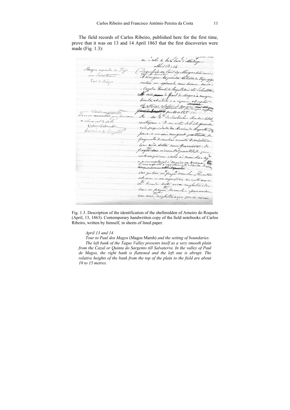The field records of Carlos Ribeiro, published here for the first time, prove that it was on 13 and 14 April 1863 that the first discoveries were made (Fig. 1.3):

er i esto do lado lado d'Atalaya April 13.14 Margin expend a. Dispolpico de Paul dy Mayor editioni...<br>La margini la quiria di Volte le Tijo opp. im Schweter Paul In Major untan un esplanado mui suave sense a Carolon Guint de Saquitation ate Salvaterra; A valle passe & Gaul In Mager c'a morgen director abation e a especia abrapto On alterna relation & margin for 10, 15 no 10 a 15, 3 lo Ao da gta InSardinhor obrace 1. Hil a chevacas & solo mitropan . O no sitio 26 orte opende Cation Schroods compropriedade dos Armiendo Requete de Armin to Rogert para-se comme mesi groude geautisate de payments become has recentes de mistura Com aria solta semi provisiona. Os fragm too n'um tot quantitate geer imbranquium ordo ai manchar ses necumentação à maios ou men mes aquels e una chamunte dovia dover ins quitem migray become for Porentse esta aven on na sugurficie en unto amere measure or na sugarfecie en untrance

Fig. 1.3. Description of the identification of the shellmidden of Arneiro do Roquete (April, 13, 1863). Contemporary handwritten copy of the field notebooks of Carlos Ribeiro, written by himself, in sheets of lined paper.

#### *April 13 and 14*

*Tour to Paul dos Magos* (Magos Marsh) *and the setting of boundaries. The left bank of the Tagus Valley presents itself as a very smooth plain from the Cazal or Quinta do Sargento till Salvaterra. In the valley of Paul de Magos, the right bank is flattened and the left one is abrupt. The relative heights of the bank from the top of the plain to the field are about 10 to 15 metres.*